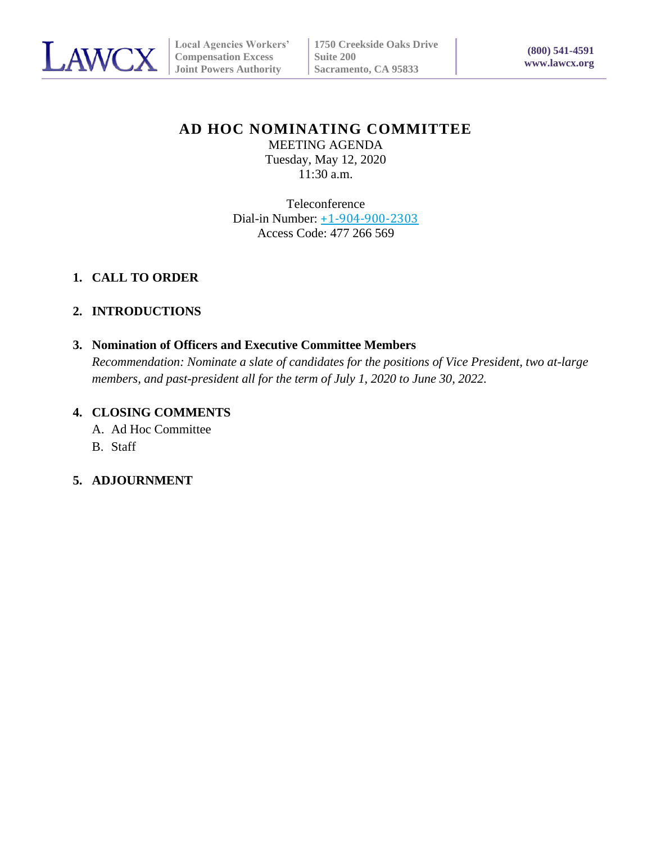

# **AD HOC NOMINATING COMMITTEE**

MEETING AGENDA Tuesday, May 12, 2020 11:30 a.m.

Teleconference Dial-in Number: [+1-904-900-2303](tel:%2B1-904-900-2303,,*01*477266569%23%23*01*) Access Code: 477 266 569

## **1. CALL TO ORDER**

## **2. INTRODUCTIONS**

#### **3. Nomination of Officers and Executive Committee Members**

*Recommendation: Nominate a slate of candidates for the positions of Vice President, two at-large members, and past-president all for the term of July 1, 2020 to June 30, 2022.*

#### **4. CLOSING COMMENTS**

A. Ad Hoc Committee

- B. Staff
- **5. ADJOURNMENT**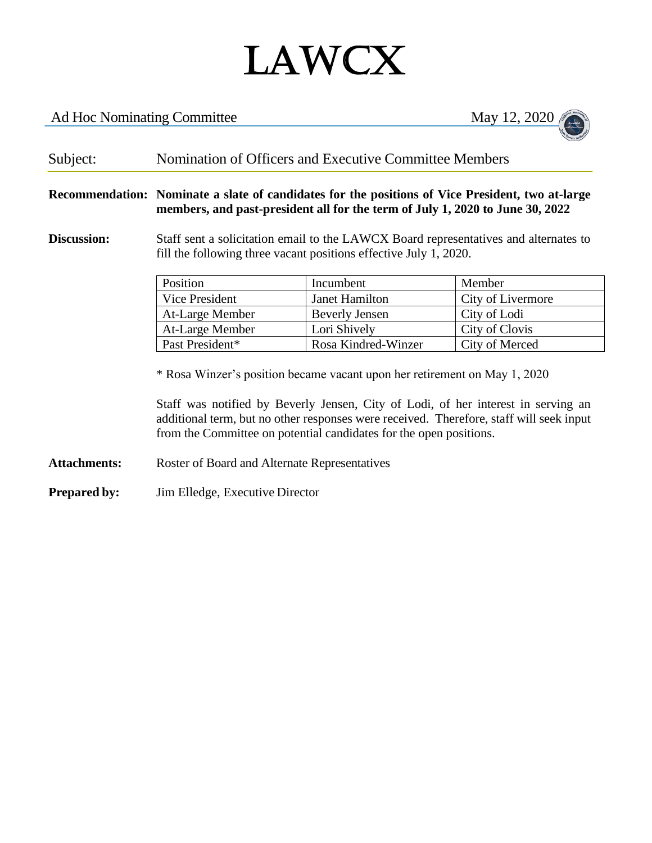# LAWCX

# Ad Hoc Nominating Committee May 12, 2020



# Subject: Nomination of Officers and Executive Committee Members

**Recommendation: Nominate a slate of candidates for the positions of Vice President, two at-large members, and past-president all for the term of July 1, 2020 to June 30, 2022** 

#### **Discussion:** Staff sent a solicitation email to the LAWCX Board representatives and alternates to fill the following three vacant positions effective July 1, 2020.

| Position        | Incumbent           | Member            |
|-----------------|---------------------|-------------------|
| Vice President  | Janet Hamilton      | City of Livermore |
| At-Large Member | Beverly Jensen      | City of Lodi      |
| At-Large Member | Lori Shively        | City of Clovis    |
| Past President* | Rosa Kindred-Winzer | City of Merced    |

\* Rosa Winzer's position became vacant upon her retirement on May 1, 2020

Staff was notified by Beverly Jensen, City of Lodi, of her interest in serving an additional term, but no other responses were received. Therefore, staff will seek input from the Committee on potential candidates for the open positions.

Attachments: Roster of Board and Alternate Representatives

**Prepared by:** Jim Elledge, Executive Director